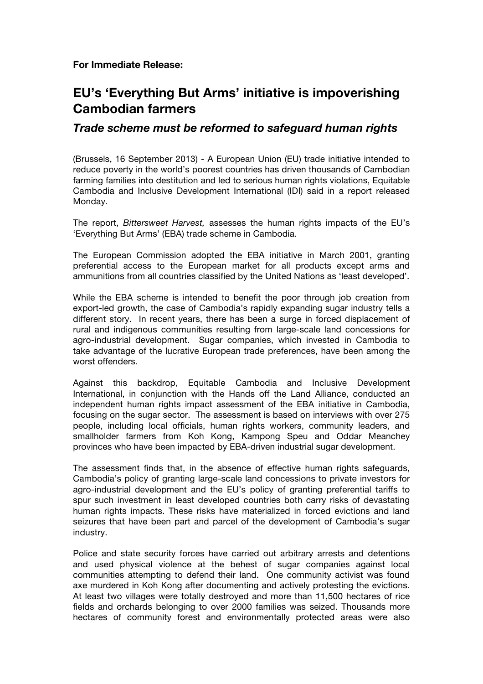**For Immediate Release:**

## **EU's 'Everything But Arms' initiative is impoverishing Cambodian farmers**

## *Trade scheme must be reformed to safeguard human rights*

(Brussels, 16 September 2013) - A European Union (EU) trade initiative intended to reduce poverty in the world's poorest countries has driven thousands of Cambodian farming families into destitution and led to serious human rights violations, Equitable Cambodia and Inclusive Development International (IDI) said in a report released Monday.

The report, *Bittersweet Harvest,* assesses the human rights impacts of the EU's 'Everything But Arms' (EBA) trade scheme in Cambodia.

The European Commission adopted the EBA initiative in March 2001, granting preferential access to the European market for all products except arms and ammunitions from all countries classified by the United Nations as 'least developed'.

While the EBA scheme is intended to benefit the poor through job creation from export-led growth, the case of Cambodia's rapidly expanding sugar industry tells a different story. In recent years, there has been a surge in forced displacement of rural and indigenous communities resulting from large-scale land concessions for agro-industrial development. Sugar companies, which invested in Cambodia to take advantage of the lucrative European trade preferences, have been among the worst offenders.

Against this backdrop, Equitable Cambodia and Inclusive Development International, in conjunction with the Hands off the Land Alliance, conducted an independent human rights impact assessment of the EBA initiative in Cambodia, focusing on the sugar sector. The assessment is based on interviews with over 275 people, including local officials, human rights workers, community leaders, and smallholder farmers from Koh Kong, Kampong Speu and Oddar Meanchey provinces who have been impacted by EBA-driven industrial sugar development.

The assessment finds that, in the absence of effective human rights safeguards, Cambodia's policy of granting large-scale land concessions to private investors for agro-industrial development and the EU's policy of granting preferential tariffs to spur such investment in least developed countries both carry risks of devastating human rights impacts. These risks have materialized in forced evictions and land seizures that have been part and parcel of the development of Cambodia's sugar industry.

Police and state security forces have carried out arbitrary arrests and detentions and used physical violence at the behest of sugar companies against local communities attempting to defend their land. One community activist was found axe murdered in Koh Kong after documenting and actively protesting the evictions. At least two villages were totally destroyed and more than 11,500 hectares of rice fields and orchards belonging to over 2000 families was seized. Thousands more hectares of community forest and environmentally protected areas were also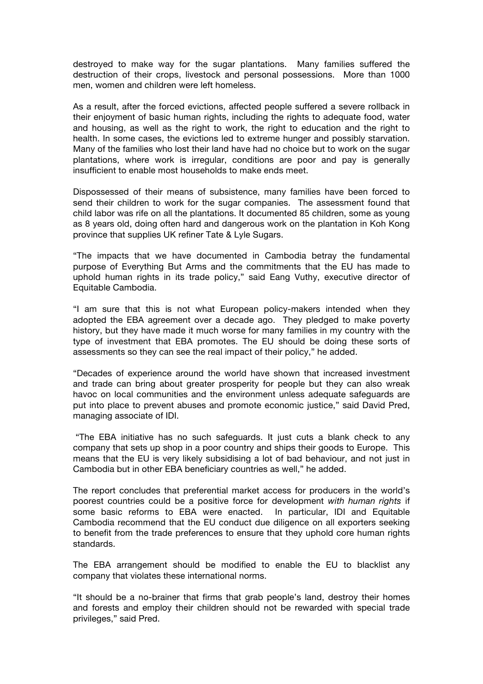destroyed to make way for the sugar plantations. Many families suffered the destruction of their crops, livestock and personal possessions. More than 1000 men, women and children were left homeless.

As a result, after the forced evictions, affected people suffered a severe rollback in their enjoyment of basic human rights, including the rights to adequate food, water and housing, as well as the right to work, the right to education and the right to health. In some cases, the evictions led to extreme hunger and possibly starvation. Many of the families who lost their land have had no choice but to work on the sugar plantations, where work is irregular, conditions are poor and pay is generally insufficient to enable most households to make ends meet.

Dispossessed of their means of subsistence, many families have been forced to send their children to work for the sugar companies. The assessment found that child labor was rife on all the plantations. It documented 85 children, some as young as 8 years old, doing often hard and dangerous work on the plantation in Koh Kong province that supplies UK refiner Tate & Lyle Sugars.

"The impacts that we have documented in Cambodia betray the fundamental purpose of Everything But Arms and the commitments that the EU has made to uphold human rights in its trade policy," said Eang Vuthy, executive director of Equitable Cambodia.

"I am sure that this is not what European policy-makers intended when they adopted the EBA agreement over a decade ago. They pledged to make poverty history, but they have made it much worse for many families in my country with the type of investment that EBA promotes. The EU should be doing these sorts of assessments so they can see the real impact of their policy," he added.

"Decades of experience around the world have shown that increased investment and trade can bring about greater prosperity for people but they can also wreak havoc on local communities and the environment unless adequate safeguards are put into place to prevent abuses and promote economic justice," said David Pred, managing associate of IDI.

"The EBA initiative has no such safeguards. It just cuts a blank check to any company that sets up shop in a poor country and ships their goods to Europe. This means that the EU is very likely subsidising a lot of bad behaviour, and not just in Cambodia but in other EBA beneficiary countries as well," he added.

The report concludes that preferential market access for producers in the world's poorest countries could be a positive force for development *with human rights* if some basic reforms to EBA were enacted. In particular, IDI and Equitable Cambodia recommend that the EU conduct due diligence on all exporters seeking to benefit from the trade preferences to ensure that they uphold core human rights standards.

The EBA arrangement should be modified to enable the EU to blacklist any company that violates these international norms.

"It should be a no-brainer that firms that grab people's land, destroy their homes and forests and employ their children should not be rewarded with special trade privileges," said Pred.